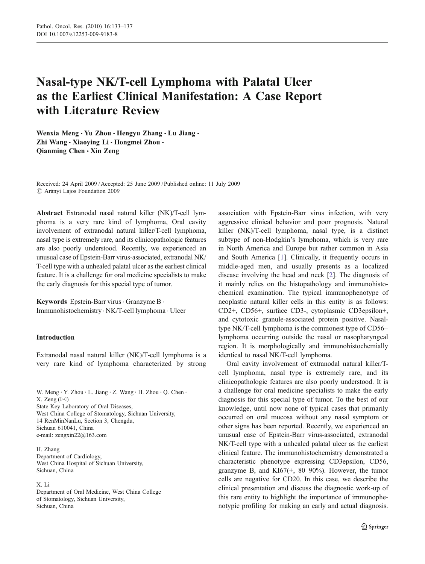# Nasal-type NK/T-cell Lymphoma with Palatal Ulcer as the Earliest Clinical Manifestation: A Case Report with Literature Review

Wenxia Meng • Yu Zhou • Hengyu Zhang • Lu Jiang • Zhi Wang · Xiaoying Li · Hongmei Zhou · Qianming  $Chen \cdot Xin Zeng$ 

Received: 24 April 2009 /Accepted: 25 June 2009 / Published online: 11 July 2009  $\oslash$  Arányi Lajos Foundation 2009

Abstract Extranodal nasal natural killer (NK)/T-cell lymphoma is a very rare kind of lymphoma, Oral cavity involvement of extranodal natural killer/T-cell lymphoma, nasal type is extremely rare, and its clinicopathologic features are also poorly understood. Recently, we experienced an unusual case of Epstein-Barr virus-associated, extranodal NK/ T-cell type with a unhealed palatal ulcer as the earliest clinical feature. It is a challenge for oral medicine specialists to make the early diagnosis for this special type of tumor.

Keywords Epstein-Barr virus  $\cdot$  Granzyme B $\cdot$ Immunohistochemistry . NK/T-cell lymphoma . Ulcer

#### Introduction

Extranodal nasal natural killer (NK)/T-cell lymphoma is a very rare kind of lymphoma characterized by strong

W. Meng · Y. Zhou · L. Jiang · Z. Wang · H. Zhou · Q. Chen · X. Zeng  $(\boxtimes)$ State Key Laboratory of Oral Diseases, West China College of Stomatology, Sichuan University,

14 RenMinNanLu, Section 3, Chengdu, Sichuan 610041, China e-mail: zengxin22@163.com

H. Zhang Department of Cardiology, West China Hospital of Sichuan University, Sichuan, China

## X. Li

Department of Oral Medicine, West China College of Stomatology, Sichuan University, Sichuan, China

association with Epstein-Barr virus infection, with very aggressive clinical behavior and poor prognosis. Natural killer (NK)/T-cell lymphoma, nasal type, is a distinct subtype of non-Hodgkin's lymphoma, which is very rare in North America and Europe but rather common in Asia and South America [[1\]](#page-4-0). Clinically, it frequently occurs in middle-aged men, and usually presents as a localized disease involving the head and neck [[2\]](#page-4-0). The diagnosis of it mainly relies on the histopathology and immunohistochemical examination. The typical immunophenotype of neoplastic natural killer cells in this entity is as follows: CD2+, CD56+, surface CD3-, cytoplasmic CD3epsilon+, and cytotoxic granule-associated protein positive. Nasaltype NK/T-cell lymphoma is the commonest type of CD56+ lymphoma occurring outside the nasal or nasopharyngeal region. It is morphologically and immunohistochemially identical to nasal NK/T-cell lymphoma.

Oral cavity involvement of extranodal natural killer/Tcell lymphoma, nasal type is extremely rare, and its clinicopathologic features are also poorly understood. It is a challenge for oral medicine specialists to make the early diagnosis for this special type of tumor. To the best of our knowledge, until now none of typical cases that primarily occurred on oral mucosa without any nasal symptom or other signs has been reported. Recently, we experienced an unusual case of Epstein-Barr virus-associated, extranodal NK/T-cell type with a unhealed palatal ulcer as the earliest clinical feature. The immunohistochemistry demonstrated a characteristic phenotype expressing CD3epsilon, CD56, granzyme B, and KI67(+, 80–90%). However, the tumor cells are negative for CD20. In this case, we describe the clinical presentation and discuss the diagnostic work-up of this rare entity to highlight the importance of immunophenotypic profiling for making an early and actual diagnosis.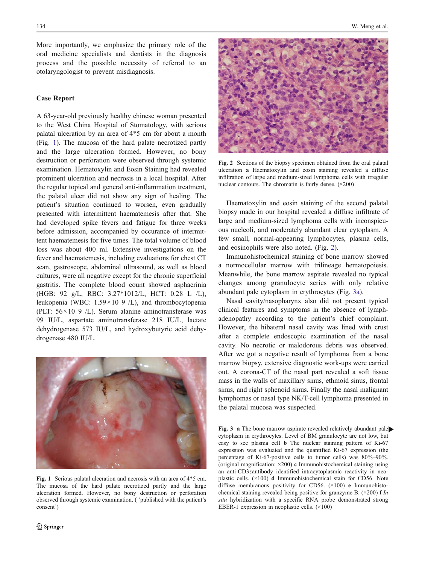<span id="page-1-0"></span>More importantly, we emphasize the primary role of the oral medicine specialists and dentists in the diagnosis process and the possible necessity of referral to an otolaryngologist to prevent misdiagnosis.

### Case Report

A 63-year-old previously healthy chinese woman presented to the West China Hospital of Stomatology, with serious palatal ulceration by an area of 4\*5 cm for about a month (Fig. 1). The mucosa of the hard palate necrotized partly and the large ulceration formed. However, no bony destruction or perforation were observed through systemic examination. Hematoxylin and Eosin Staining had revealed prominent ulceration and necrosis in a local hospital. After the regular topical and general anti-inflammation treatment, the palatal ulcer did not show any sign of healing. The patient's situation continued to worsen, even gradually presented with intermittent haematemesis after that. She had developed spike fevers and fatigue for three weeks before admission, accompanied by occurance of intermittent haematemesis for five times. The total volume of blood loss was about 400 ml. Extensive investigations on the fever and haematemesis, including evaluations for chest CT scan, gastroscope, abdominal ultrasound, as well as blood cultures, were all negative except for the chronic superficial gastritis. The complete blood count showed asphaerinia (HGB: 92 g/L, RBC: 3.27\*1012/L, HCT: 0.28 L /L), leukopenia (WBC: 1.59×10 9 /L), and thrombocytopenia (PLT: 56×10 9 /L). Serum alanine aminotransferase was 99 IU/L, aspartate aminotransferase 218 IU/L, lactate dehydrogenase 573 IU/L, and hydroxybutyric acid dehydrogenase 480 IU/L.



Fig. 1 Serious palatal ulceration and necrosis with an area of 4\*5 cm. The mucosa of the hard palate necrotized partly and the large ulceration formed. However, no bony destruction or perforation observed through systemic examination. ( 'published with the patient's consent')



Fig. 2 Sections of the biopsy specimen obtained from the oral palatal ulceration a Haematoxylin and eosin staining revealed a diffuse infiltration of large and medium-sized lymphoma cells with irregular nuclear contours. The chromatin is fairly dense. (×200)

Haematoxylin and eosin staining of the second palatal biopsy made in our hospital revealed a diffuse infiltrate of large and medium-sized lymphoma cells with inconspicuous nucleoli, and moderately abundant clear cytoplasm. A few small, normal-appearing lymphocytes, plasma cells, and eosinophils were also noted. (Fig. 2).

Immunohistochemical staining of bone marrow showed a normocellular marrow with trilineage hematopoiesis. Meanwhile, the bone marrow aspirate revealed no typical changes among granulocyte series with only relative abundant pale cytoplasm in erythrocytes (Fig. 3a).

Nasal cavity/nasopharynx also did not present typical clinical features and symptoms in the absence of lymphadenopathy according to the patient's chief complaint. However, the hibateral nasal cavity was lined with crust after a complete endoscopic examination of the nasal cavity. No necrotic or malodorous debris was observed. After we got a negative result of lymphoma from a bone marrow biopsy, extensive diagnostic work-ups were carried out. A corona-CT of the nasal part revealed a soft tissue mass in the walls of maxillary sinus, ethmoid sinus, frontal sinus, and right sphenoid sinus. Finally the nasal malignant lymphomas or nasal type NK/T-cell lymphoma presented in the palatal mucosa was suspected.

Fig. 3 a The bone marrow aspirate revealed relatively abundant pale cytoplasm in erythrocytes. Level of BM granulocyte are not low, but easy to see plasma cell b The nuclear staining pattern of Ki-67 expression was evaluated and the quantified Ki-67 expression (the percentage of Ki-67-positive cells to tumor cells) was 80%–90%. (original magnification:  $\times$ 200) c Immunohistochemical staining using an anti-CD3εantibody identified intracytoplasmic reactivity in neoplastic cells. (×100) d Immunohistochemical stain for CD56. Note diffuse membranous positivity for CD56. (×100) e Immunohistochemical staining revealed being positive for granzyme B.  $(\times 200)$  f In situ hybridization with a specific RNA probe demonstrated strong EBER-1 expression in neoplastic cells. (×100)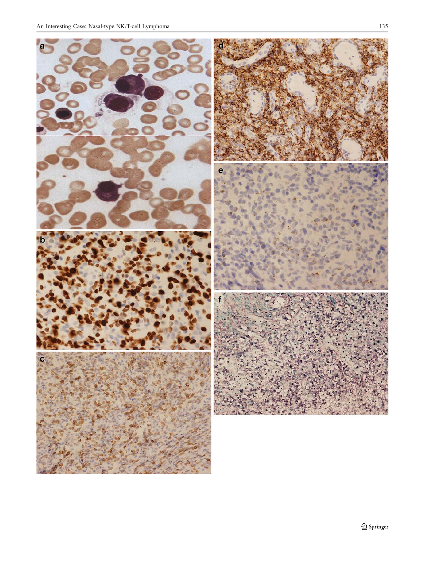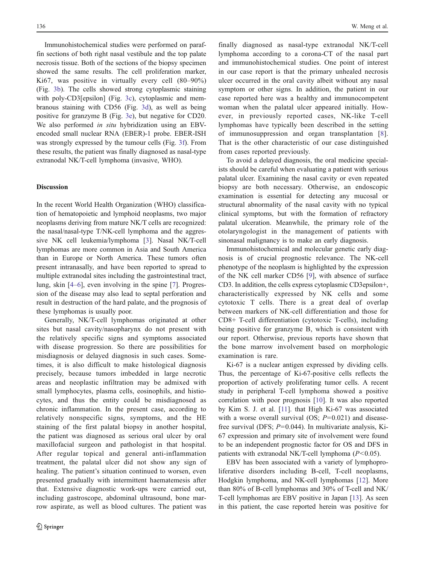Immunohistochemical studies were performed on paraffin sections of both right nasal vestibule and the top palate necrosis tissue. Both of the sections of the biopsy specimen showed the same results. The cell proliferation marker, Ki67, was positive in virtually every cell (80–90%) (Fig. [3b](#page-1-0)). The cells showed strong cytoplasmic staining with poly-CD3[epsilon] (Fig. [3c\)](#page-1-0), cytoplasmic and membranous staining with CD56 (Fig. [3d](#page-1-0)), as well as being positive for granzyme B (Fig. [3e](#page-1-0)), but negative for CD20. We also performed in situ hybridization using an EBVencoded small nuclear RNA (EBER)-1 probe. EBER-ISH was strongly expressed by the tumour cells (Fig. [3f\)](#page-1-0). From these results, the patient was finally diagnosed as nasal-type extranodal NK/T-cell lymphoma (invasive, WHO).

# Discussion

In the recent World Health Organization (WHO) classification of hematopoietic and lymphoid neoplasms, two major neoplasms deriving from mature NK/T cells are recognized: the nasal/nasal-type T/NK-cell lymphoma and the aggressive NK cell leukemia/lymphoma [\[3](#page-4-0)]. Nasal NK/T-cell lymphomas are more common in Asia and South America than in Europe or North America. These tumors often present intranasally, and have been reported to spread to multiple extranodal sites including the gastrointestinal tract, lung, skin [\[4](#page-4-0)–[6](#page-4-0)], even involving in the spine [\[7](#page-4-0)]. Progression of the disease may also lead to septal perforation and result in destruction of the hard palate, and the prognosis of these lymphomas is usually poor.

Generally, NK/T-cell lymphomas originated at other sites but nasal cavity/nasopharynx do not present with the relatively specific signs and symptoms associated with disease progression. So there are possibilities for misdiagnosis or delayed diagnosis in such cases. Sometimes, it is also difficult to make histological diagnosis precisely, because tumors imbedded in large necrotic areas and neoplastic infiltration may be admixed with small lymphocytes, plasma cells, eosinophils, and histiocytes, and thus the entity could be misdiagnosed as chronic inflammation. In the present case, according to relatively nonspecific signs, symptoms, and the HE staining of the first palatal biopsy in another hospital, the patient was diagnosed as serious oral ulcer by oral maxillofacial surgeon and pathologist in that hospital. After regular topical and general anti-inflammation treatment, the palatal ulcer did not show any sign of healing. The patient's situation continued to worsen, even presented gradually with intermittent haematemesis after that. Extensive diagnostic work-ups were carried out, including gastroscope, abdominal ultrasound, bone marrow aspirate, as well as blood cultures. The patient was

finally diagnosed as nasal-type extranodal NK/T-cell lymphoma according to a corona-CT of the nasal part and immunohistochemical studies. One point of interest in our case report is that the primary unhealed necrosis ulcer occurred in the oral cavity albeit without any nasal symptom or other signs. In addition, the patient in our case reported here was a healthy and immunocompetent woman when the palatal ulcer appeared initially. However, in previously reported cases, NK-like T-cell lymphomas have typically been described in the setting of immunosuppression and organ transplantation [\[8](#page-4-0)]. That is the other characteristic of our case distinguished from cases reported previously.

To avoid a delayed diagnosis, the oral medicine specialists should be careful when evaluating a patient with serious palatal ulcer. Examining the nasal cavity or even repeated biopsy are both necessary. Otherwise, an endoscopic examination is essential for detecting any mucosal or structural abnormality of the nasal cavity with no typical clinical symptoms, but with the formation of refractory palatal ulceration. Meanwhile, the primary role of the otolaryngologist in the management of patients with sinonasal malignancy is to make an early diagnosis.

Immunohistochemical and molecular genetic early diagnosis is of crucial prognostic relevance. The NK-cell phenotype of the neoplasm is highlighted by the expression of the NK cell marker CD56 [[9\]](#page-4-0), with absence of surface CD3. In addition, the cells express cytoplasmic CD3epsilon+, characteristically expressed by NK cells and some cytotoxic T cells. There is a great deal of overlap between markers of NK-cell differentiation and those for CD8+ T-cell differentiation (cytotoxic T-cells), including being positive for granzyme B, which is consistent with our report. Otherwise, previous reports have shown that the bone marrow involvement based on morphologic examination is rare.

Ki-67 is a nuclear antigen expressed by dividing cells. Thus, the percentage of Ki-67-positive cells reflects the proportion of actively proliferating tumor cells. A recent study in peripheral T-cell lymphoma showed a positive correlation with poor prognosis [\[10](#page-4-0)]. It was also reported by Kim S. J. et al. [[11](#page-4-0)]. that High Ki-67 was associated with a worse overall survival (OS;  $P=0.021$ ) and diseasefree survival (DFS;  $P=0.044$ ). In multivariate analysis, Ki-67 expression and primary site of involvement were found to be an independent prognostic factor for OS and DFS in patients with extranodal NK/T-cell lymphoma  $(P<0.05)$ .

EBV has been associated with a variety of lymphoproliferative disorders including B-cell, T-cell neoplasms, Hodgkin lymphoma, and NK-cell lymphomas [[12\]](#page-4-0). More than 80% of B-cell lymphomas and 30% of T-cell and NK/ T-cell lymphomas are EBV positive in Japan [[13\]](#page-4-0). As seen in this patient, the case reported herein was positive for